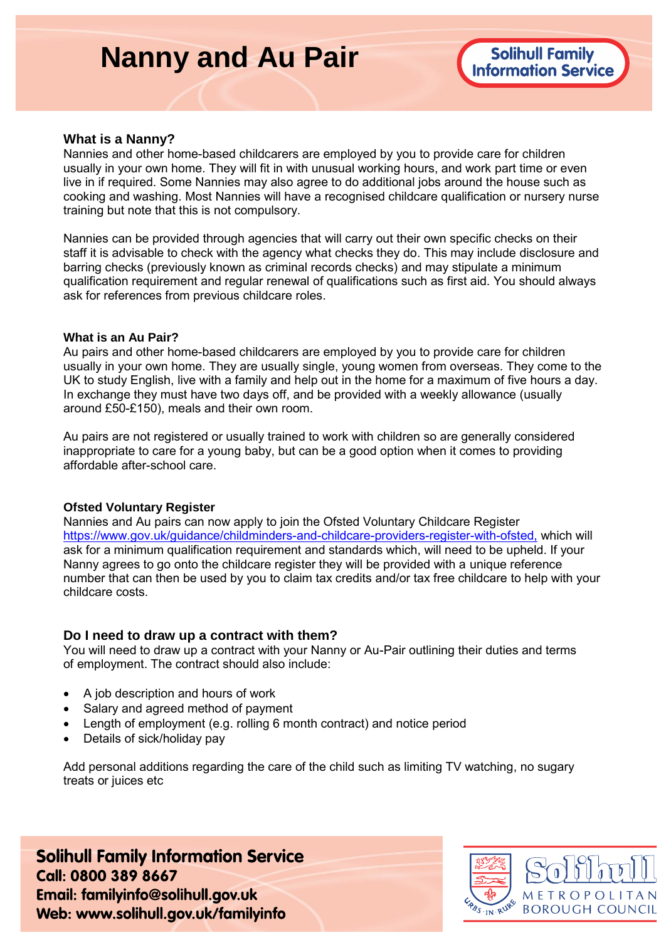# **Nanny and Au Pair**



#### **What is a Nanny?**

Nannies and other home-based childcarers are employed by you to provide care for children usually in your own home. They will fit in with unusual working hours, and work part time or even live in if required. Some Nannies may also agree to do additional jobs around the house such as cooking and washing. Most Nannies will have a recognised childcare qualification or nursery nurse training but note that this is not compulsory.

Nannies can be provided through agencies that will carry out their own specific checks on their staff it is advisable to check with the agency what checks they do. This may include disclosure and barring checks (previously known as criminal records checks) and may stipulate a minimum qualification requirement and regular renewal of qualifications such as first aid. You should always ask for references from previous childcare roles.

#### **What is an Au Pair?**

Au pairs and other home-based childcarers are employed by you to provide care for children usually in your own home. They are usually single, young women from overseas. They come to the UK to study English, live with a family and help out in the home for a maximum of five hours a day. In exchange they must have two days off, and be provided with a weekly allowance (usually around £50-£150), meals and their own room.

Au pairs are not registered or usually trained to work with children so are generally considered inappropriate to care for a young baby, but can be a good option when it comes to providing affordable after-school care.

#### **Ofsted Voluntary Register**

Nannies and Au pairs can now apply to join the Ofsted Voluntary Childcare Register [https://www.gov.uk/guidance/childminders-and-childcare-providers-register-with-ofsted,](https://www.gov.uk/guidance/childminders-and-childcare-providers-register-with-ofsted) which will ask for a minimum qualification requirement and standards which, will need to be upheld. If your Nanny agrees to go onto the childcare register they will be provided with a unique reference number that can then be used by you to claim tax credits and/or tax free childcare to help with your childcare costs.

#### **Do I need to draw up a contract with them?**

You will need to draw up a contract with your Nanny or Au-Pair outlining their duties and terms of employment. The contract should also include:

- A job description and hours of work
- Salary and agreed method of payment
- Length of employment (e.g. rolling 6 month contract) and notice period
- Details of sick/holiday pay

Add personal additions regarding the care of the child such as limiting TV watching, no sugary treats or juices etc

**Solihull Family Information Service** Call: 0800 389 8667 Email: familyinfo@solihull.gov.uk Web: www.solihull.gov.uk/familyinfo